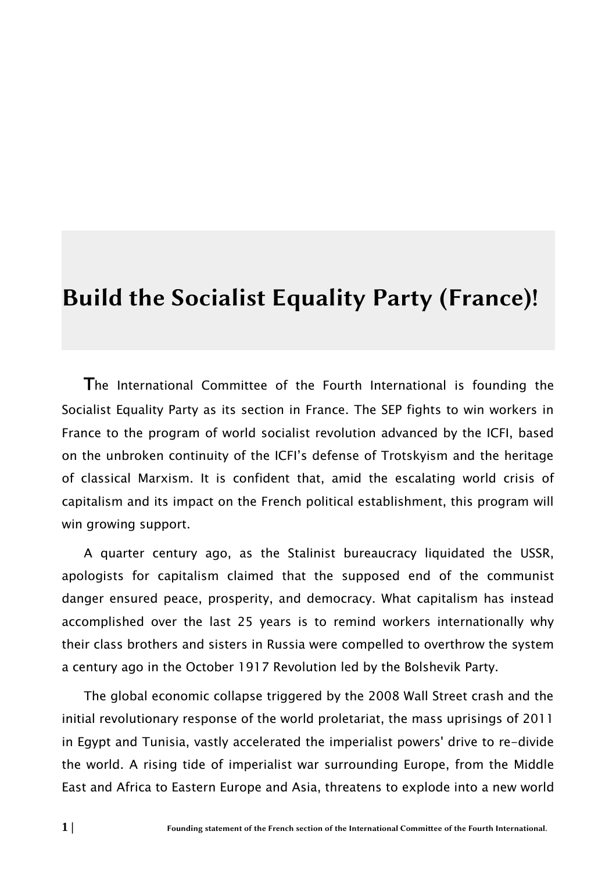# Build the Socialist Equality Party (France)!

The International Committee of the Fourth International is founding the Socialist Equality Party as its section in France. The SEP fights to win workers in France to the program of world socialist revolution advanced by the ICFI, based on the unbroken continuity of the ICFI's defense of Trotskyism and the heritage of classical Marxism. It is confident that, amid the escalating world crisis of capitalism and its impact on the French political establishment, this program will win growing support.

A quarter century ago, as the Stalinist bureaucracy liquidated the USSR, apologists for capitalism claimed that the supposed end of the communist danger ensured peace, prosperity, and democracy. What capitalism has instead accomplished over the last 25 years is to remind workers internationally why their class brothers and sisters in Russia were compelled to overthrow the system a century ago in the October 1917 Revolution led by the Bolshevik Party.

The global economic collapse triggered by the 2008 Wall Street crash and the initial revolutionary response of the world proletariat, the mass uprisings of 2011 in Egypt and Tunisia, vastly accelerated the imperialist powers' drive to re-divide the world. A rising tide of imperialist war surrounding Europe, from the Middle East and Africa to Eastern Europe and Asia, threatens to explode into a new world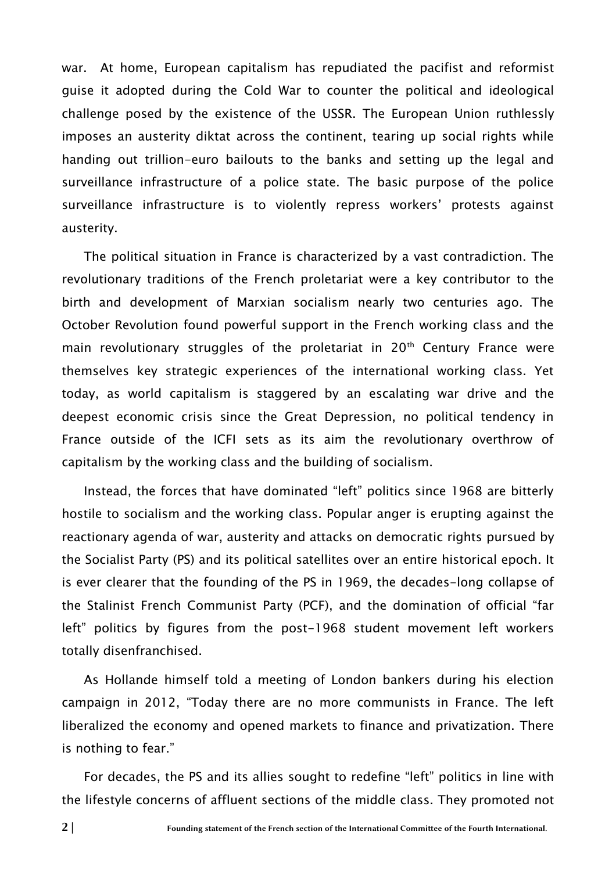war. At home, European capitalism has repudiated the pacifist and reformist guise it adopted during the Cold War to counter the political and ideological challenge posed by the existence of the USSR. The European Union ruthlessly imposes an austerity diktat across the continent, tearing up social rights while handing out trillion-euro bailouts to the banks and setting up the legal and surveillance infrastructure of a police state. The basic purpose of the police surveillance infrastructure is to violently repress workers' protests against austerity.

The political situation in France is characterized by a vast contradiction. The revolutionary traditions of the French proletariat were a key contributor to the birth and development of Marxian socialism nearly two centuries ago. The October Revolution found powerful support in the French working class and the main revolutionary struggles of the proletariat in  $20<sup>th</sup>$  Century France were themselves key strategic experiences of the international working class. Yet today, as world capitalism is staggered by an escalating war drive and the deepest economic crisis since the Great Depression, no political tendency in France outside of the ICFI sets as its aim the revolutionary overthrow of capitalism by the working class and the building of socialism.

Instead, the forces that have dominated "left" politics since 1968 are bitterly hostile to socialism and the working class. Popular anger is erupting against the reactionary agenda of war, austerity and attacks on democratic rights pursued by the Socialist Party (PS) and its political satellites over an entire historical epoch. It is ever clearer that the founding of the PS in 1969, the decades-long collapse of the Stalinist French Communist Party (PCF), and the domination of official "far left" politics by figures from the post-1968 student movement left workers totally disenfranchised.

As Hollande himself told a meeting of London bankers during his election campaign in 2012, "Today there are no more communists in France. The left liberalized the economy and opened markets to finance and privatization. There is nothing to fear."

For decades, the PS and its allies sought to redefine "left" politics in line with the lifestyle concerns of affluent sections of the middle class. They promoted not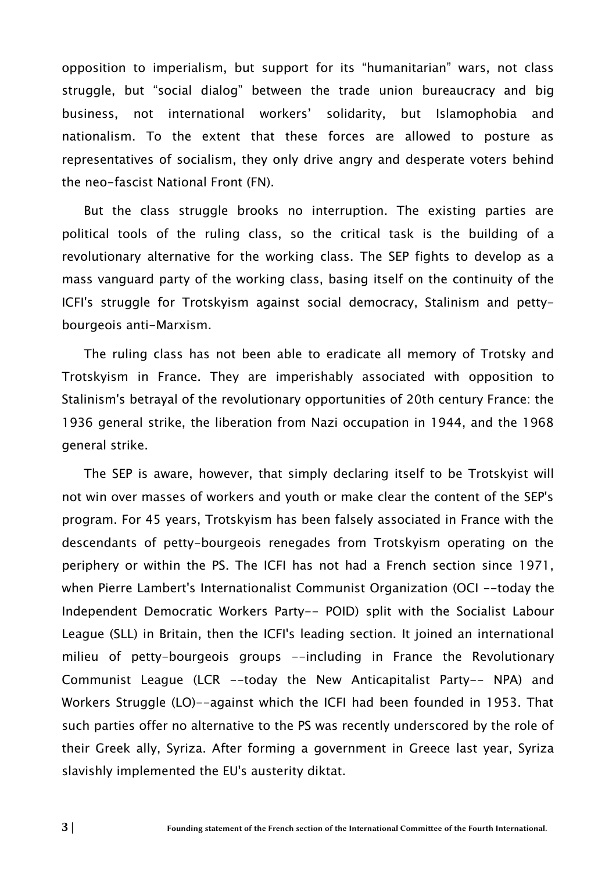opposition to imperialism, but support for its "humanitarian" wars, not class struggle, but "social dialog" between the trade union bureaucracy and big business, not international workers' solidarity, but Islamophobia and nationalism. To the extent that these forces are allowed to posture as representatives of socialism, they only drive angry and desperate voters behind the neo-fascist National Front (FN).

But the class struggle brooks no interruption. The existing parties are political tools of the ruling class, so the critical task is the building of a revolutionary alternative for the working class. The SEP fights to develop as a mass vanguard party of the working class, basing itself on the continuity of the ICFI's struggle for Trotskyism against social democracy, Stalinism and pettybourgeois anti-Marxism.

The ruling class has not been able to eradicate all memory of Trotsky and Trotskyism in France. They are imperishably associated with opposition to Stalinism's betrayal of the revolutionary opportunities of 20th century France: the 1936 general strike, the liberation from Nazi occupation in 1944, and the 1968 general strike.

The SEP is aware, however, that simply declaring itself to be Trotskyist will not win over masses of workers and youth or make clear the content of the SEP's program. For 45 years, Trotskyism has been falsely associated in France with the descendants of petty-bourgeois renegades from Trotskyism operating on the periphery or within the PS. The ICFI has not had a French section since 1971, when Pierre Lambert's Internationalist Communist Organization (OCI --today the Independent Democratic Workers Party-- POID) split with the Socialist Labour League (SLL) in Britain, then the ICFI's leading section. It joined an international milieu of petty-bourgeois groups --including in France the Revolutionary Communist League (LCR --today the New Anticapitalist Party-- NPA) and Workers Struggle (LO)--against which the ICFI had been founded in 1953. That such parties offer no alternative to the PS was recently underscored by the role of their Greek ally, Syriza. After forming a government in Greece last year, Syriza slavishly implemented the EU's austerity diktat.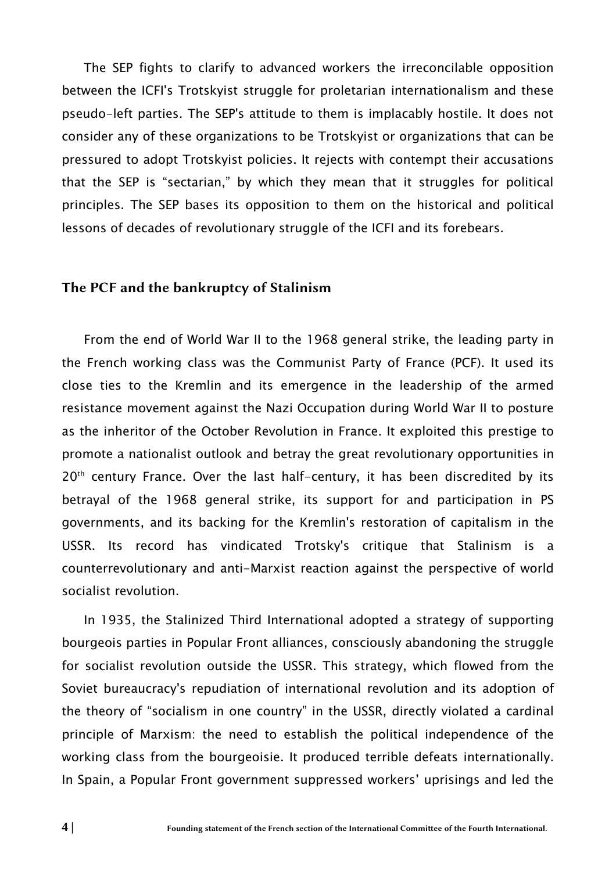The SEP fights to clarify to advanced workers the irreconcilable opposition between the ICFI's Trotskyist struggle for proletarian internationalism and these pseudo-left parties. The SEP's attitude to them is implacably hostile. It does not consider any of these organizations to be Trotskyist or organizations that can be pressured to adopt Trotskyist policies. It rejects with contempt their accusations that the SEP is "sectarian," by which they mean that it struggles for political principles. The SEP bases its opposition to them on the historical and political lessons of decades of revolutionary struggle of the ICFI and its forebears.

#### The PCF and the bankruptcy of Stalinism

From the end of World War II to the 1968 general strike, the leading party in the French working class was the Communist Party of France (PCF). It used its close ties to the Kremlin and its emergence in the leadership of the armed resistance movement against the Nazi Occupation during World War II to posture as the inheritor of the October Revolution in France. It exploited this prestige to promote a nationalist outlook and betray the great revolutionary opportunities in 20<sup>th</sup> century France. Over the last half-century, it has been discredited by its betrayal of the 1968 general strike, its support for and participation in PS governments, and its backing for the Kremlin's restoration of capitalism in the USSR. Its record has vindicated Trotsky's critique that Stalinism is a counterrevolutionary and anti-Marxist reaction against the perspective of world socialist revolution.

In 1935, the Stalinized Third International adopted a strategy of supporting bourgeois parties in Popular Front alliances, consciously abandoning the struggle for socialist revolution outside the USSR. This strategy, which flowed from the Soviet bureaucracy's repudiation of international revolution and its adoption of the theory of "socialism in one country" in the USSR, directly violated a cardinal principle of Marxism: the need to establish the political independence of the working class from the bourgeoisie. It produced terrible defeats internationally. In Spain, a Popular Front government suppressed workers' uprisings and led the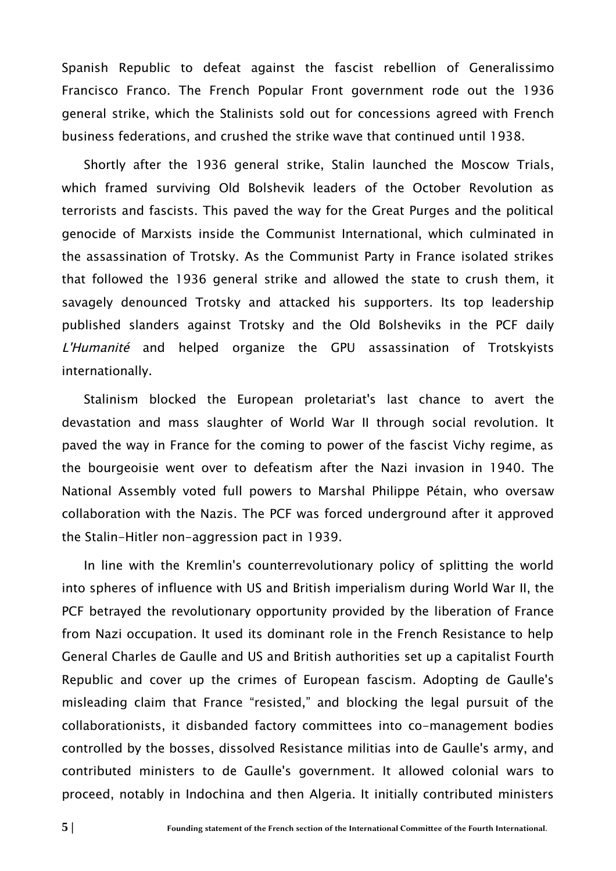Spanish Republic to defeat against the fascist rebellion of Generalissimo Francisco Franco. The French Popular Front government rode out the 1936 general strike, which the Stalinists sold out for concessions agreed with French business federations, and crushed the strike wave that continued until 1938.

Shortly after the 1936 general strike, Stalin launched the Moscow Trials, which framed surviving Old Bolshevik leaders of the October Revolution as terrorists and fascists. This paved the way for the Great Purges and the political genocide of Marxists inside the Communist International, which culminated in the assassination of Trotsky. As the Communist Party in France isolated strikes that followed the 1936 general strike and allowed the state to crush them, it savagely denounced Trotsky and attacked his supporters. Its top leadership published slanders against Trotsky and the Old Bolsheviks in the PCF daily L'Humanité and helped organize the GPU assassination of Trotskyists internationally.

Stalinism blocked the European proletariat's last chance to avert the devastation and mass slaughter of World War II through social revolution. It paved the way in France for the coming to power of the fascist Vichy regime, as the bourgeoisie went over to defeatism after the Nazi invasion in 1940. The National Assembly voted full powers to Marshal Philippe Pétain, who oversaw collaboration with the Nazis. The PCF was forced underground after it approved the Stalin-Hitler non-aggression pact in 1939.

In line with the Kremlin's counterrevolutionary policy of splitting the world into spheres of influence with US and British imperialism during World War II, the PCF betrayed the revolutionary opportunity provided by the liberation of France from Nazi occupation. It used its dominant role in the French Resistance to help General Charles de Gaulle and US and British authorities set up a capitalist Fourth Republic and cover up the crimes of European fascism. Adopting de Gaulle's misleading claim that France "resisted," and blocking the legal pursuit of the collaborationists, it disbanded factory committees into co-management bodies controlled by the bosses, dissolved Resistance militias into de Gaulle's army, and contributed ministers to de Gaulle's government. It allowed colonial wars to proceed, notably in Indochina and then Algeria. It initially contributed ministers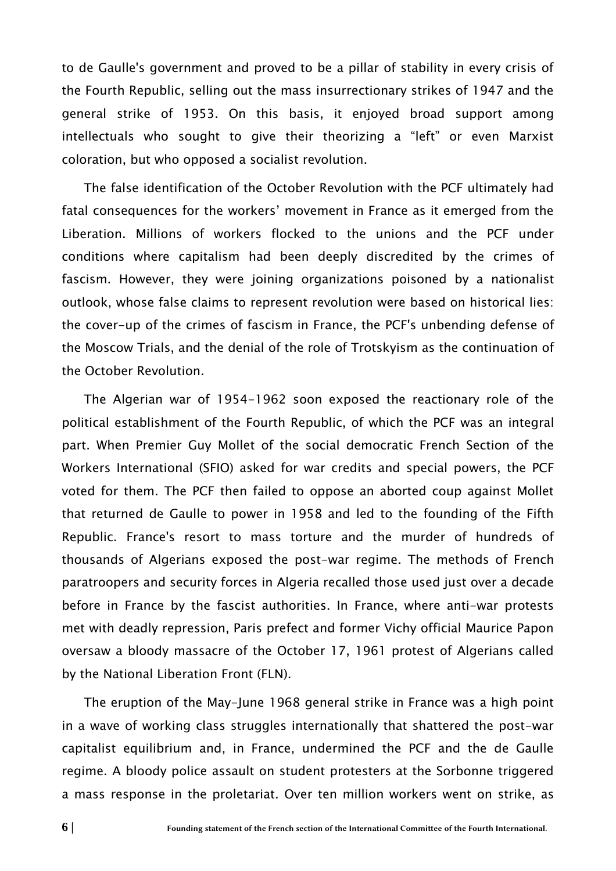to de Gaulle's government and proved to be a pillar of stability in every crisis of the Fourth Republic, selling out the mass insurrectionary strikes of 1947 and the general strike of 1953. On this basis, it enjoyed broad support among intellectuals who sought to give their theorizing a "left" or even Marxist coloration, but who opposed a socialist revolution.

The false identification of the October Revolution with the PCF ultimately had fatal consequences for the workers' movement in France as it emerged from the Liberation. Millions of workers flocked to the unions and the PCF under conditions where capitalism had been deeply discredited by the crimes of fascism. However, they were joining organizations poisoned by a nationalist outlook, whose false claims to represent revolution were based on historical lies: the cover-up of the crimes of fascism in France, the PCF's unbending defense of the Moscow Trials, and the denial of the role of Trotskyism as the continuation of the October Revolution.

The Algerian war of 1954-1962 soon exposed the reactionary role of the political establishment of the Fourth Republic, of which the PCF was an integral part. When Premier Guy Mollet of the social democratic French Section of the Workers International (SFIO) asked for war credits and special powers, the PCF voted for them. The PCF then failed to oppose an aborted coup against Mollet that returned de Gaulle to power in 1958 and led to the founding of the Fifth Republic. France's resort to mass torture and the murder of hundreds of thousands of Algerians exposed the post-war regime. The methods of French paratroopers and security forces in Algeria recalled those used just over a decade before in France by the fascist authorities. In France, where anti-war protests met with deadly repression, Paris prefect and former Vichy official Maurice Papon oversaw a bloody massacre of the October 17, 1961 protest of Algerians called by the National Liberation Front (FLN).

The eruption of the May-June 1968 general strike in France was a high point in a wave of working class struggles internationally that shattered the post-war capitalist equilibrium and, in France, undermined the PCF and the de Gaulle regime. A bloody police assault on student protesters at the Sorbonne triggered a mass response in the proletariat. Over ten million workers went on strike, as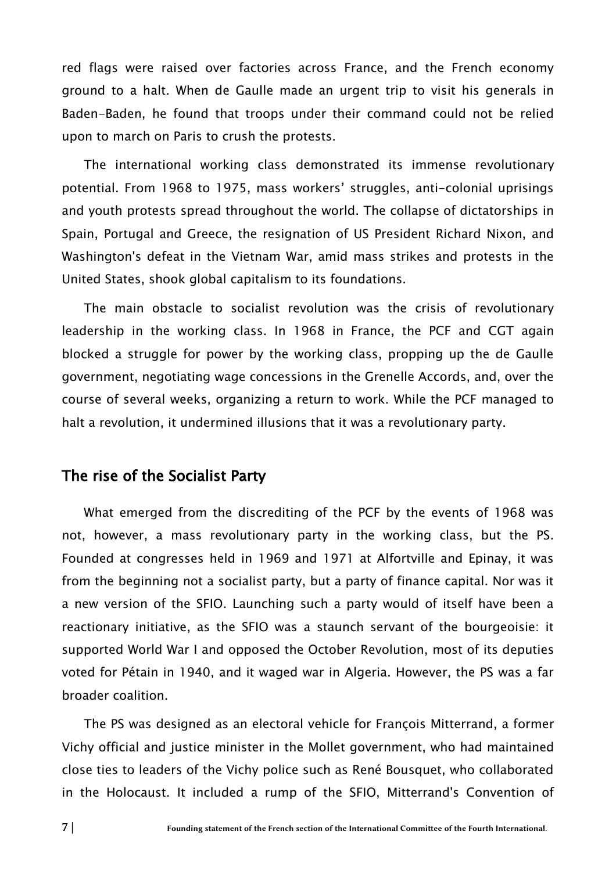red flags were raised over factories across France, and the French economy ground to a halt. When de Gaulle made an urgent trip to visit his generals in Baden-Baden, he found that troops under their command could not be relied upon to march on Paris to crush the protests.

The international working class demonstrated its immense revolutionary potential. From 1968 to 1975, mass workers' struggles, anti-colonial uprisings and youth protests spread throughout the world. The collapse of dictatorships in Spain, Portugal and Greece, the resignation of US President Richard Nixon, and Washington's defeat in the Vietnam War, amid mass strikes and protests in the United States, shook global capitalism to its foundations.

The main obstacle to socialist revolution was the crisis of revolutionary leadership in the working class. In 1968 in France, the PCF and CGT again blocked a struggle for power by the working class, propping up the de Gaulle government, negotiating wage concessions in the Grenelle Accords, and, over the course of several weeks, organizing a return to work. While the PCF managed to halt a revolution, it undermined illusions that it was a revolutionary party.

### The rise of the Socialist Party

What emerged from the discrediting of the PCF by the events of 1968 was not, however, a mass revolutionary party in the working class, but the PS. Founded at congresses held in 1969 and 1971 at Alfortville and Epinay, it was from the beginning not a socialist party, but a party of finance capital. Nor was it a new version of the SFIO. Launching such a party would of itself have been a reactionary initiative, as the SFIO was a staunch servant of the bourgeoisie: it supported World War I and opposed the October Revolution, most of its deputies voted for Pétain in 1940, and it waged war in Algeria. However, the PS was a far broader coalition.

The PS was designed as an electoral vehicle for François Mitterrand, a former Vichy official and justice minister in the Mollet government, who had maintained close ties to leaders of the Vichy police such as René Bousquet, who collaborated in the Holocaust. It included a rump of the SFIO, Mitterrand's Convention of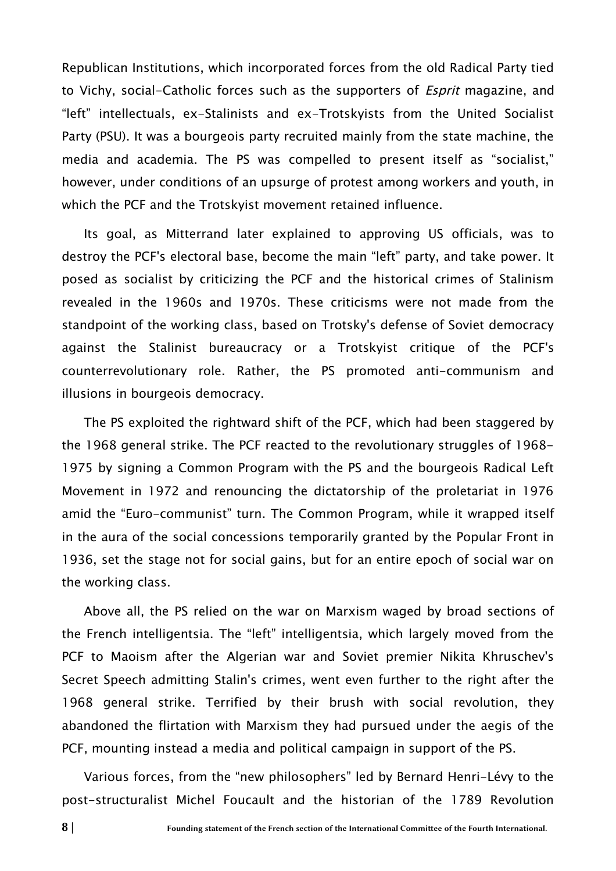Republican Institutions, which incorporated forces from the old Radical Party tied to Vichy, social-Catholic forces such as the supporters of *Esprit* magazine, and "left" intellectuals, ex-Stalinists and ex-Trotskyists from the United Socialist Party (PSU). It was a bourgeois party recruited mainly from the state machine, the media and academia. The PS was compelled to present itself as "socialist," however, under conditions of an upsurge of protest among workers and youth, in which the PCF and the Trotskyist movement retained influence.

Its goal, as Mitterrand later explained to approving US officials, was to destroy the PCF's electoral base, become the main "left" party, and take power. It posed as socialist by criticizing the PCF and the historical crimes of Stalinism revealed in the 1960s and 1970s. These criticisms were not made from the standpoint of the working class, based on Trotsky's defense of Soviet democracy against the Stalinist bureaucracy or a Trotskyist critique of the PCF's counterrevolutionary role. Rather, the PS promoted anti-communism and illusions in bourgeois democracy.

The PS exploited the rightward shift of the PCF, which had been staggered by the 1968 general strike. The PCF reacted to the revolutionary struggles of 1968- 1975 by signing a Common Program with the PS and the bourgeois Radical Left Movement in 1972 and renouncing the dictatorship of the proletariat in 1976 amid the "Euro-communist" turn. The Common Program, while it wrapped itself in the aura of the social concessions temporarily granted by the Popular Front in 1936, set the stage not for social gains, but for an entire epoch of social war on the working class.

Above all, the PS relied on the war on Marxism waged by broad sections of the French intelligentsia. The "left" intelligentsia, which largely moved from the PCF to Maoism after the Algerian war and Soviet premier Nikita Khruschev's Secret Speech admitting Stalin's crimes, went even further to the right after the 1968 general strike. Terrified by their brush with social revolution, they abandoned the flirtation with Marxism they had pursued under the aegis of the PCF, mounting instead a media and political campaign in support of the PS.

Various forces, from the "new philosophers" led by Bernard Henri-Lévy to the post-structuralist Michel Foucault and the historian of the 1789 Revolution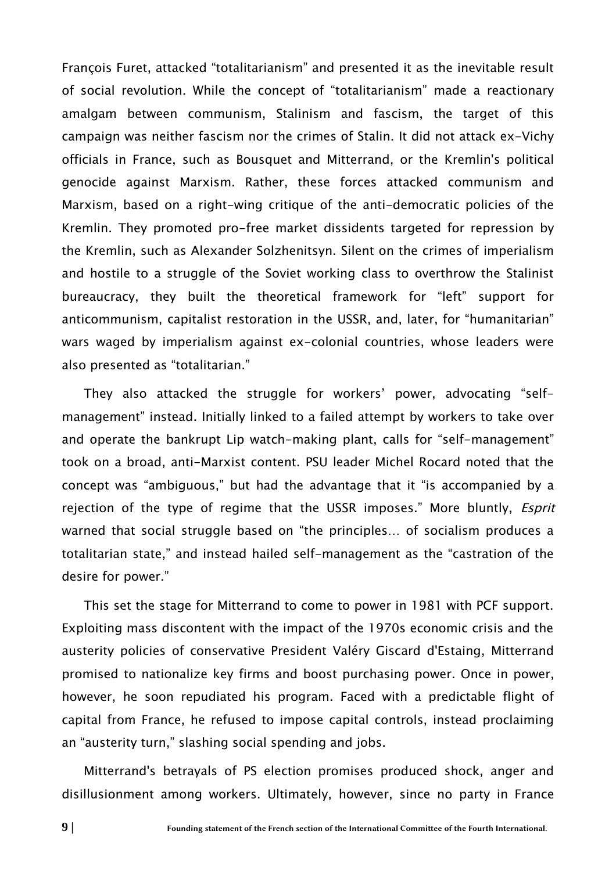François Furet, attacked "totalitarianism" and presented it as the inevitable result of social revolution. While the concept of "totalitarianism" made a reactionary amalgam between communism, Stalinism and fascism, the target of this campaign was neither fascism nor the crimes of Stalin. It did not attack ex-Vichy officials in France, such as Bousquet and Mitterrand, or the Kremlin's political genocide against Marxism. Rather, these forces attacked communism and Marxism, based on a right-wing critique of the anti-democratic policies of the Kremlin. They promoted pro-free market dissidents targeted for repression by the Kremlin, such as Alexander Solzhenitsyn. Silent on the crimes of imperialism and hostile to a struggle of the Soviet working class to overthrow the Stalinist bureaucracy, they built the theoretical framework for "left" support for anticommunism, capitalist restoration in the USSR, and, later, for "humanitarian" wars waged by imperialism against ex-colonial countries, whose leaders were also presented as "totalitarian."

They also attacked the struggle for workers' power, advocating "selfmanagement" instead. Initially linked to a failed attempt by workers to take over and operate the bankrupt Lip watch-making plant, calls for "self-management" took on a broad, anti-Marxist content. PSU leader Michel Rocard noted that the concept was "ambiguous," but had the advantage that it "is accompanied by a rejection of the type of regime that the USSR imposes." More bluntly, *Esprit* warned that social struggle based on "the principles… of socialism produces a totalitarian state," and instead hailed self-management as the "castration of the desire for power."

This set the stage for Mitterrand to come to power in 1981 with PCF support. Exploiting mass discontent with the impact of the 1970s economic crisis and the austerity policies of conservative President Valéry Giscard d'Estaing, Mitterrand promised to nationalize key firms and boost purchasing power. Once in power, however, he soon repudiated his program. Faced with a predictable flight of capital from France, he refused to impose capital controls, instead proclaiming an "austerity turn," slashing social spending and jobs.

Mitterrand's betrayals of PS election promises produced shock, anger and disillusionment among workers. Ultimately, however, since no party in France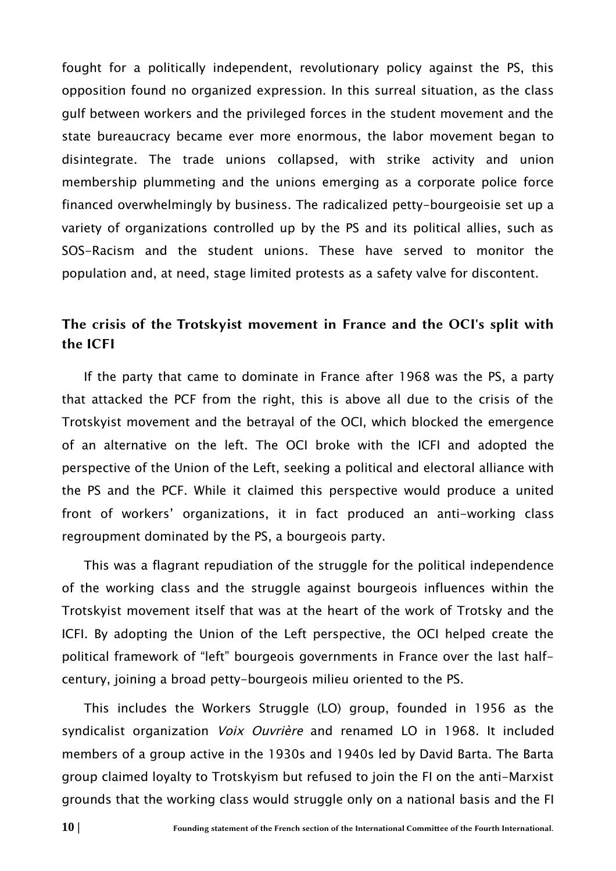fought for a politically independent, revolutionary policy against the PS, this opposition found no organized expression. In this surreal situation, as the class gulf between workers and the privileged forces in the student movement and the state bureaucracy became ever more enormous, the labor movement began to disintegrate. The trade unions collapsed, with strike activity and union membership plummeting and the unions emerging as a corporate police force financed overwhelmingly by business. The radicalized petty-bourgeoisie set up a variety of organizations controlled up by the PS and its political allies, such as SOS-Racism and the student unions. These have served to monitor the population and, at need, stage limited protests as a safety valve for discontent.

## The crisis of the Trotskyist movement in France and the OCI's split with the ICFI

If the party that came to dominate in France after 1968 was the PS, a party that attacked the PCF from the right, this is above all due to the crisis of the Trotskyist movement and the betrayal of the OCI, which blocked the emergence of an alternative on the left. The OCI broke with the ICFI and adopted the perspective of the Union of the Left, seeking a political and electoral alliance with the PS and the PCF. While it claimed this perspective would produce a united front of workers' organizations, it in fact produced an anti-working class regroupment dominated by the PS, a bourgeois party.

This was a flagrant repudiation of the struggle for the political independence of the working class and the struggle against bourgeois influences within the Trotskyist movement itself that was at the heart of the work of Trotsky and the ICFI. By adopting the Union of the Left perspective, the OCI helped create the political framework of "left" bourgeois governments in France over the last halfcentury, joining a broad petty-bourgeois milieu oriented to the PS.

This includes the Workers Struggle (LO) group, founded in 1956 as the syndicalist organization *Voix Ouvrière* and renamed LO in 1968. It included members of a group active in the 1930s and 1940s led by David Barta. The Barta group claimed loyalty to Trotskyism but refused to join the FI on the anti-Marxist grounds that the working class would struggle only on a national basis and the FI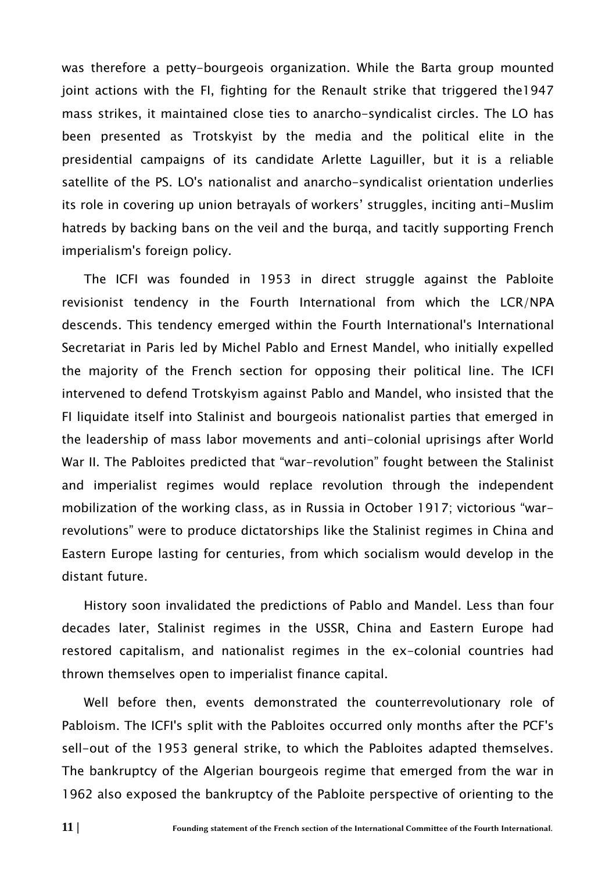was therefore a petty-bourgeois organization. While the Barta group mounted joint actions with the FI, fighting for the Renault strike that triggered the1947 mass strikes, it maintained close ties to anarcho-syndicalist circles. The LO has been presented as Trotskyist by the media and the political elite in the presidential campaigns of its candidate Arlette Laguiller, but it is a reliable satellite of the PS. LO's nationalist and anarcho-syndicalist orientation underlies its role in covering up union betrayals of workers' struggles, inciting anti-Muslim hatreds by backing bans on the veil and the burqa, and tacitly supporting French imperialism's foreign policy.

The ICFI was founded in 1953 in direct struggle against the Pabloite revisionist tendency in the Fourth International from which the LCR/NPA descends. This tendency emerged within the Fourth International's International Secretariat in Paris led by Michel Pablo and Ernest Mandel, who initially expelled the majority of the French section for opposing their political line. The ICFI intervened to defend Trotskyism against Pablo and Mandel, who insisted that the FI liquidate itself into Stalinist and bourgeois nationalist parties that emerged in the leadership of mass labor movements and anti-colonial uprisings after World War II. The Pabloites predicted that "war-revolution" fought between the Stalinist and imperialist regimes would replace revolution through the independent mobilization of the working class, as in Russia in October 1917; victorious "warrevolutions" were to produce dictatorships like the Stalinist regimes in China and Eastern Europe lasting for centuries, from which socialism would develop in the distant future.

History soon invalidated the predictions of Pablo and Mandel. Less than four decades later, Stalinist regimes in the USSR, China and Eastern Europe had restored capitalism, and nationalist regimes in the ex-colonial countries had thrown themselves open to imperialist finance capital.

Well before then, events demonstrated the counterrevolutionary role of Pabloism. The ICFI's split with the Pabloites occurred only months after the PCF's sell-out of the 1953 general strike, to which the Pabloites adapted themselves. The bankruptcy of the Algerian bourgeois regime that emerged from the war in 1962 also exposed the bankruptcy of the Pabloite perspective of orienting to the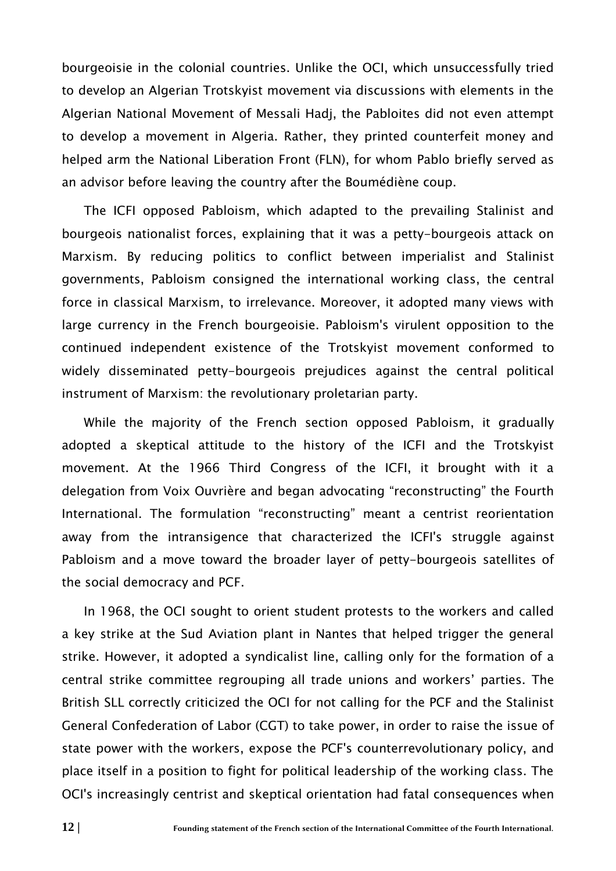bourgeoisie in the colonial countries. Unlike the OCI, which unsuccessfully tried to develop an Algerian Trotskyist movement via discussions with elements in the Algerian National Movement of Messali Hadj, the Pabloites did not even attempt to develop a movement in Algeria. Rather, they printed counterfeit money and helped arm the National Liberation Front (FLN), for whom Pablo briefly served as an advisor before leaving the country after the Boumédiène coup.

The ICFI opposed Pabloism, which adapted to the prevailing Stalinist and bourgeois nationalist forces, explaining that it was a petty-bourgeois attack on Marxism. By reducing politics to conflict between imperialist and Stalinist governments, Pabloism consigned the international working class, the central force in classical Marxism, to irrelevance. Moreover, it adopted many views with large currency in the French bourgeoisie. Pabloism's virulent opposition to the continued independent existence of the Trotskyist movement conformed to widely disseminated petty-bourgeois prejudices against the central political instrument of Marxism: the revolutionary proletarian party.

While the majority of the French section opposed Pabloism, it gradually adopted a skeptical attitude to the history of the ICFI and the Trotskyist movement. At the 1966 Third Congress of the ICFI, it brought with it a delegation from Voix Ouvrière and began advocating "reconstructing" the Fourth International. The formulation "reconstructing" meant a centrist reorientation away from the intransigence that characterized the ICFI's struggle against Pabloism and a move toward the broader layer of petty-bourgeois satellites of the social democracy and PCF.

In 1968, the OCI sought to orient student protests to the workers and called a key strike at the Sud Aviation plant in Nantes that helped trigger the general strike. However, it adopted a syndicalist line, calling only for the formation of a central strike committee regrouping all trade unions and workers' parties. The British SLL correctly criticized the OCI for not calling for the PCF and the Stalinist General Confederation of Labor (CGT) to take power, in order to raise the issue of state power with the workers, expose the PCF's counterrevolutionary policy, and place itself in a position to fight for political leadership of the working class. The OCI's increasingly centrist and skeptical orientation had fatal consequences when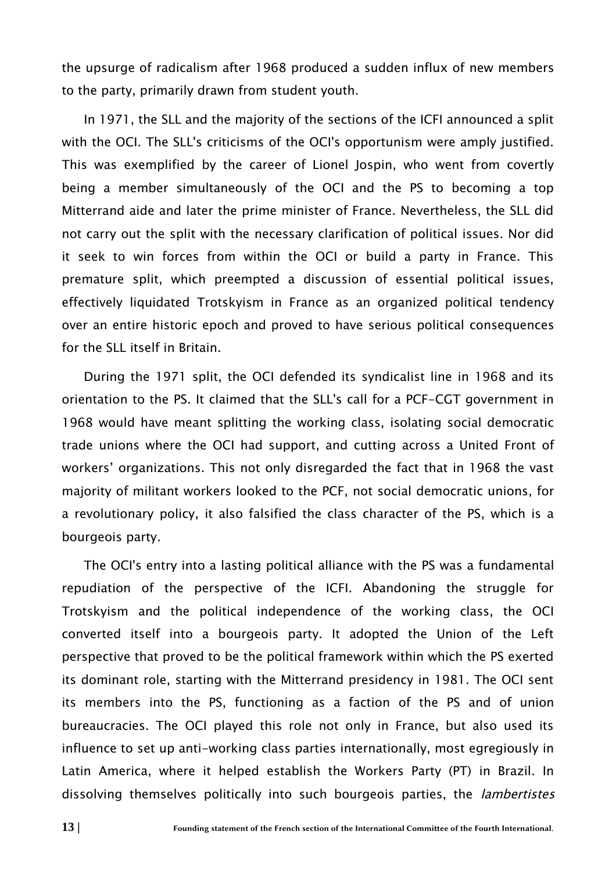the upsurge of radicalism after 1968 produced a sudden influx of new members to the party, primarily drawn from student youth.

In 1971, the SLL and the majority of the sections of the ICFI announced a split with the OCI. The SLL's criticisms of the OCI's opportunism were amply justified. This was exemplified by the career of Lionel Jospin, who went from covertly being a member simultaneously of the OCI and the PS to becoming a top Mitterrand aide and later the prime minister of France. Nevertheless, the SLL did not carry out the split with the necessary clarification of political issues. Nor did it seek to win forces from within the OCI or build a party in France. This premature split, which preempted a discussion of essential political issues, effectively liquidated Trotskyism in France as an organized political tendency over an entire historic epoch and proved to have serious political consequences for the SLL itself in Britain.

During the 1971 split, the OCI defended its syndicalist line in 1968 and its orientation to the PS. It claimed that the SLL's call for a PCF-CGT government in 1968 would have meant splitting the working class, isolating social democratic trade unions where the OCI had support, and cutting across a United Front of workers' organizations. This not only disregarded the fact that in 1968 the vast majority of militant workers looked to the PCF, not social democratic unions, for a revolutionary policy, it also falsified the class character of the PS, which is a bourgeois party.

The OCI's entry into a lasting political alliance with the PS was a fundamental repudiation of the perspective of the ICFI. Abandoning the struggle for Trotskyism and the political independence of the working class, the OCI converted itself into a bourgeois party. It adopted the Union of the Left perspective that proved to be the political framework within which the PS exerted its dominant role, starting with the Mitterrand presidency in 1981. The OCI sent its members into the PS, functioning as a faction of the PS and of union bureaucracies. The OCI played this role not only in France, but also used its influence to set up anti-working class parties internationally, most egregiously in Latin America, where it helped establish the Workers Party (PT) in Brazil. In dissolving themselves politically into such bourgeois parties, the *lambertistes*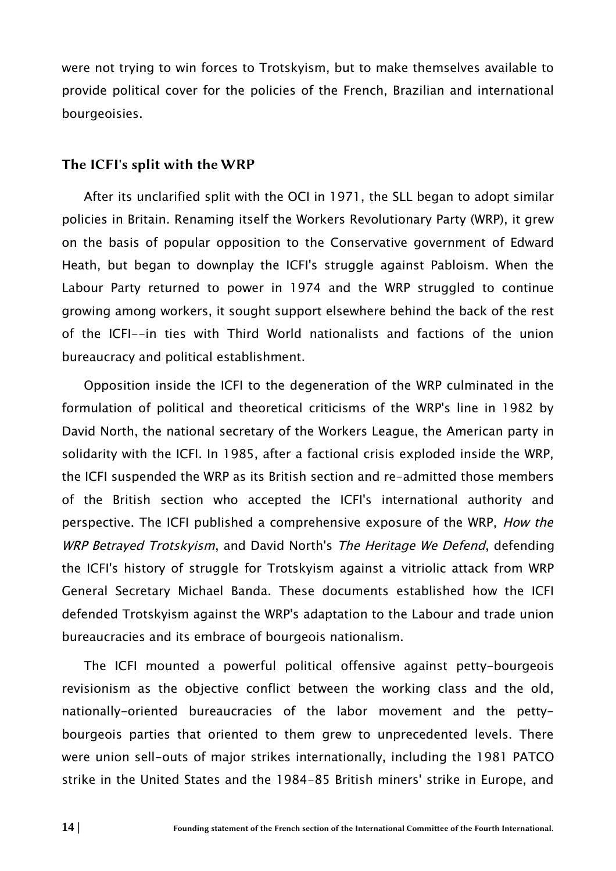were not trying to win forces to Trotskyism, but to make themselves available to provide political cover for the policies of the French, Brazilian and international bourgeoisies.

#### The ICFI's split with the WRP

After its unclarified split with the OCI in 1971, the SLL began to adopt similar policies in Britain. Renaming itself the Workers Revolutionary Party (WRP), it grew on the basis of popular opposition to the Conservative government of Edward Heath, but began to downplay the ICFI's struggle against Pabloism. When the Labour Party returned to power in 1974 and the WRP struggled to continue growing among workers, it sought support elsewhere behind the back of the rest of the ICFI--in ties with Third World nationalists and factions of the union bureaucracy and political establishment.

Opposition inside the ICFI to the degeneration of the WRP culminated in the formulation of political and theoretical criticisms of the WRP's line in 1982 by David North, the national secretary of the Workers League, the American party in solidarity with the ICFI. In 1985, after a factional crisis exploded inside the WRP, the ICFI suspended the WRP as its British section and re-admitted those members of the British section who accepted the ICFI's international authority and perspective. The ICFI published a comprehensive exposure of the WRP, How the WRP Betrayed Trotskyism, and David North's The Heritage We Defend, defending the ICFI's history of struggle for Trotskyism against a vitriolic attack from WRP General Secretary Michael Banda. These documents established how the ICFI defended Trotskyism against the WRP's adaptation to the Labour and trade union bureaucracies and its embrace of bourgeois nationalism.

The ICFI mounted a powerful political offensive against petty-bourgeois revisionism as the objective conflict between the working class and the old, nationally-oriented bureaucracies of the labor movement and the pettybourgeois parties that oriented to them grew to unprecedented levels. There were union sell-outs of major strikes internationally, including the 1981 PATCO strike in the United States and the 1984-85 British miners' strike in Europe, and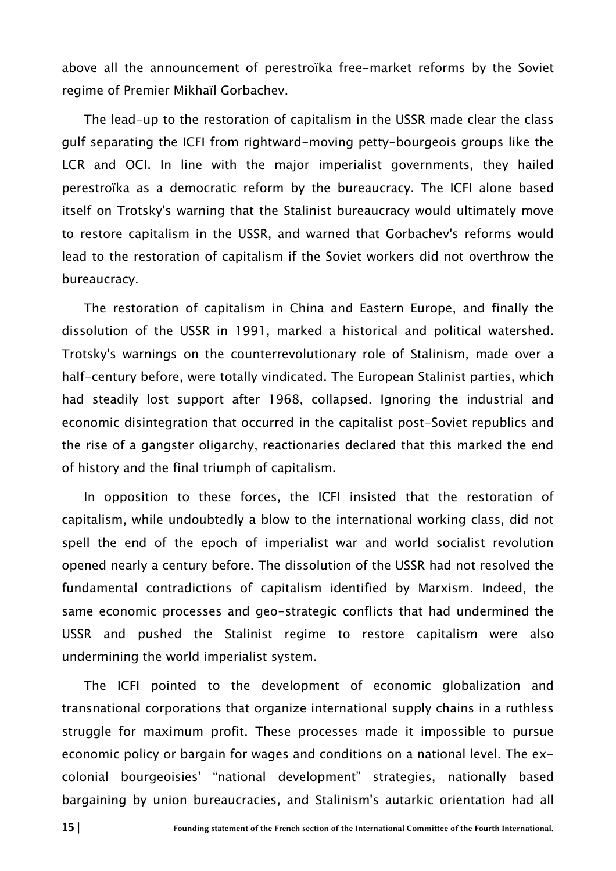above all the announcement of perestroïka free-market reforms by the Soviet regime of Premier Mikhaïl Gorbachev.

The lead-up to the restoration of capitalism in the USSR made clear the class gulf separating the ICFI from rightward-moving petty-bourgeois groups like the LCR and OCI. In line with the major imperialist governments, they hailed perestroïka as a democratic reform by the bureaucracy. The ICFI alone based itself on Trotsky's warning that the Stalinist bureaucracy would ultimately move to restore capitalism in the USSR, and warned that Gorbachev's reforms would lead to the restoration of capitalism if the Soviet workers did not overthrow the bureaucracy.

The restoration of capitalism in China and Eastern Europe, and finally the dissolution of the USSR in 1991, marked a historical and political watershed. Trotsky's warnings on the counterrevolutionary role of Stalinism, made over a half-century before, were totally vindicated. The European Stalinist parties, which had steadily lost support after 1968, collapsed. Ignoring the industrial and economic disintegration that occurred in the capitalist post-Soviet republics and the rise of a gangster oligarchy, reactionaries declared that this marked the end of history and the final triumph of capitalism.

In opposition to these forces, the ICFI insisted that the restoration of capitalism, while undoubtedly a blow to the international working class, did not spell the end of the epoch of imperialist war and world socialist revolution opened nearly a century before. The dissolution of the USSR had not resolved the fundamental contradictions of capitalism identified by Marxism. Indeed, the same economic processes and geo-strategic conflicts that had undermined the USSR and pushed the Stalinist regime to restore capitalism were also undermining the world imperialist system.

The ICFI pointed to the development of economic globalization and transnational corporations that organize international supply chains in a ruthless struggle for maximum profit. These processes made it impossible to pursue economic policy or bargain for wages and conditions on a national level. The excolonial bourgeoisies' "national development" strategies, nationally based bargaining by union bureaucracies, and Stalinism's autarkic orientation had all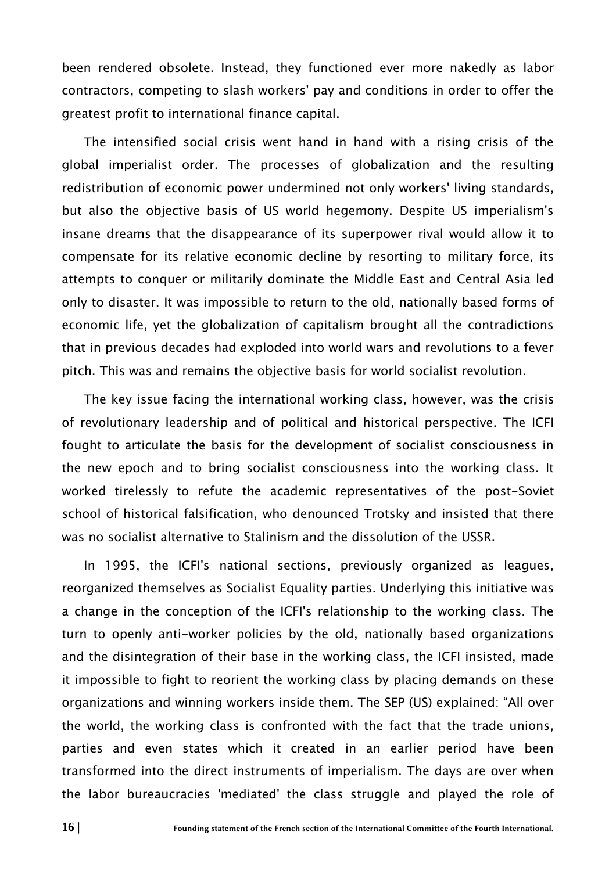been rendered obsolete. Instead, they functioned ever more nakedly as labor contractors, competing to slash workers' pay and conditions in order to offer the greatest profit to international finance capital.

The intensified social crisis went hand in hand with a rising crisis of the global imperialist order. The processes of globalization and the resulting redistribution of economic power undermined not only workers' living standards, but also the objective basis of US world hegemony. Despite US imperialism's insane dreams that the disappearance of its superpower rival would allow it to compensate for its relative economic decline by resorting to military force, its attempts to conquer or militarily dominate the Middle East and Central Asia led only to disaster. It was impossible to return to the old, nationally based forms of economic life, yet the globalization of capitalism brought all the contradictions that in previous decades had exploded into world wars and revolutions to a fever pitch. This was and remains the objective basis for world socialist revolution.

The key issue facing the international working class, however, was the crisis of revolutionary leadership and of political and historical perspective. The ICFI fought to articulate the basis for the development of socialist consciousness in the new epoch and to bring socialist consciousness into the working class. It worked tirelessly to refute the academic representatives of the post-Soviet school of historical falsification, who denounced Trotsky and insisted that there was no socialist alternative to Stalinism and the dissolution of the USSR.

In 1995, the ICFI's national sections, previously organized as leagues, reorganized themselves as Socialist Equality parties. Underlying this initiative was a change in the conception of the ICFI's relationship to the working class. The turn to openly anti-worker policies by the old, nationally based organizations and the disintegration of their base in the working class, the ICFI insisted, made it impossible to fight to reorient the working class by placing demands on these organizations and winning workers inside them. The SEP (US) explained: "All over the world, the working class is confronted with the fact that the trade unions, parties and even states which it created in an earlier period have been transformed into the direct instruments of imperialism. The days are over when the labor bureaucracies 'mediated' the class struggle and played the role of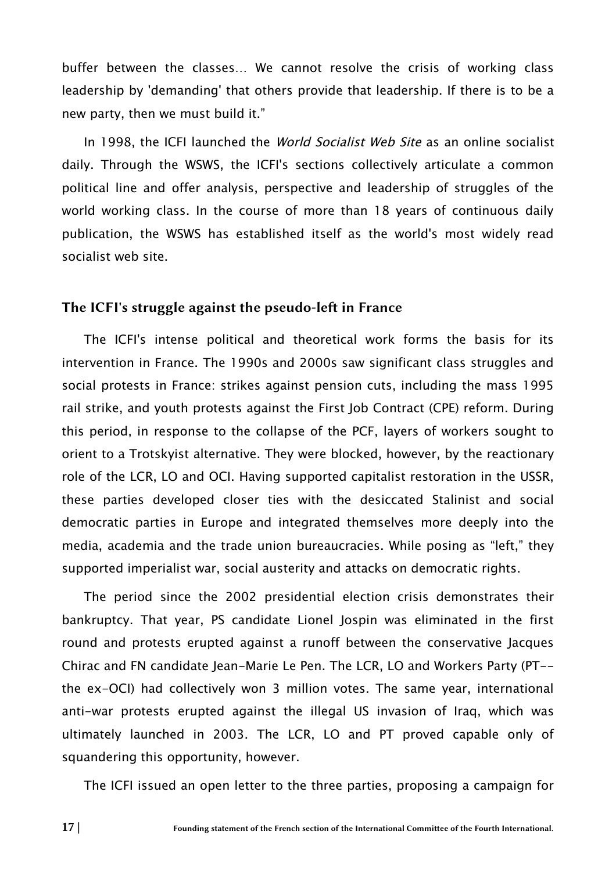buffer between the classes… We cannot resolve the crisis of working class leadership by 'demanding' that others provide that leadership. If there is to be a new party, then we must build it."

In 1998, the ICFI launched the *World Socialist Web Site* as an online socialist daily. Through the WSWS, the ICFI's sections collectively articulate a common political line and offer analysis, perspective and leadership of struggles of the world working class. In the course of more than 18 years of continuous daily publication, the WSWS has established itself as the world's most widely read socialist web site.

#### The ICFI's struggle against the pseudo-left in France

The ICFI's intense political and theoretical work forms the basis for its intervention in France. The 1990s and 2000s saw significant class struggles and social protests in France: strikes against pension cuts, including the mass 1995 rail strike, and youth protests against the First Job Contract (CPE) reform. During this period, in response to the collapse of the PCF, layers of workers sought to orient to a Trotskyist alternative. They were blocked, however, by the reactionary role of the LCR, LO and OCI. Having supported capitalist restoration in the USSR, these parties developed closer ties with the desiccated Stalinist and social democratic parties in Europe and integrated themselves more deeply into the media, academia and the trade union bureaucracies. While posing as "left," they supported imperialist war, social austerity and attacks on democratic rights.

The period since the 2002 presidential election crisis demonstrates their bankruptcy. That year, PS candidate Lionel Jospin was eliminated in the first round and protests erupted against a runoff between the conservative Jacques Chirac and FN candidate Jean-Marie Le Pen. The LCR, LO and Workers Party (PT- the ex-OCI) had collectively won 3 million votes. The same year, international anti-war protests erupted against the illegal US invasion of Iraq, which was ultimately launched in 2003. The LCR, LO and PT proved capable only of squandering this opportunity, however.

The ICFI issued an open letter to the three parties, proposing a campaign for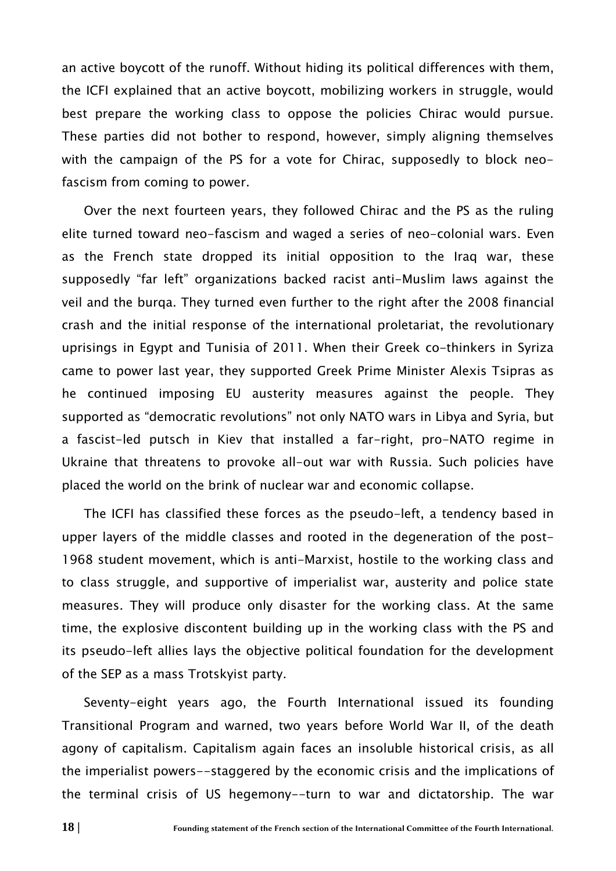an active boycott of the runoff. Without hiding its political differences with them, the ICFI explained that an active boycott, mobilizing workers in struggle, would best prepare the working class to oppose the policies Chirac would pursue. These parties did not bother to respond, however, simply aligning themselves with the campaign of the PS for a vote for Chirac, supposedly to block neofascism from coming to power.

Over the next fourteen years, they followed Chirac and the PS as the ruling elite turned toward neo-fascism and waged a series of neo-colonial wars. Even as the French state dropped its initial opposition to the Iraq war, these supposedly "far left" organizations backed racist anti-Muslim laws against the veil and the burqa. They turned even further to the right after the 2008 financial crash and the initial response of the international proletariat, the revolutionary uprisings in Egypt and Tunisia of 2011. When their Greek co-thinkers in Syriza came to power last year, they supported Greek Prime Minister Alexis Tsipras as he continued imposing EU austerity measures against the people. They supported as "democratic revolutions" not only NATO wars in Libya and Syria, but a fascist-led putsch in Kiev that installed a far-right, pro-NATO regime in Ukraine that threatens to provoke all-out war with Russia. Such policies have placed the world on the brink of nuclear war and economic collapse.

The ICFI has classified these forces as the pseudo-left, a tendency based in upper layers of the middle classes and rooted in the degeneration of the post-1968 student movement, which is anti-Marxist, hostile to the working class and to class struggle, and supportive of imperialist war, austerity and police state measures. They will produce only disaster for the working class. At the same time, the explosive discontent building up in the working class with the PS and its pseudo-left allies lays the objective political foundation for the development of the SEP as a mass Trotskyist party.

Seventy-eight years ago, the Fourth International issued its founding Transitional Program and warned, two years before World War II, of the death agony of capitalism. Capitalism again faces an insoluble historical crisis, as all the imperialist powers--staggered by the economic crisis and the implications of the terminal crisis of US hegemony--turn to war and dictatorship. The war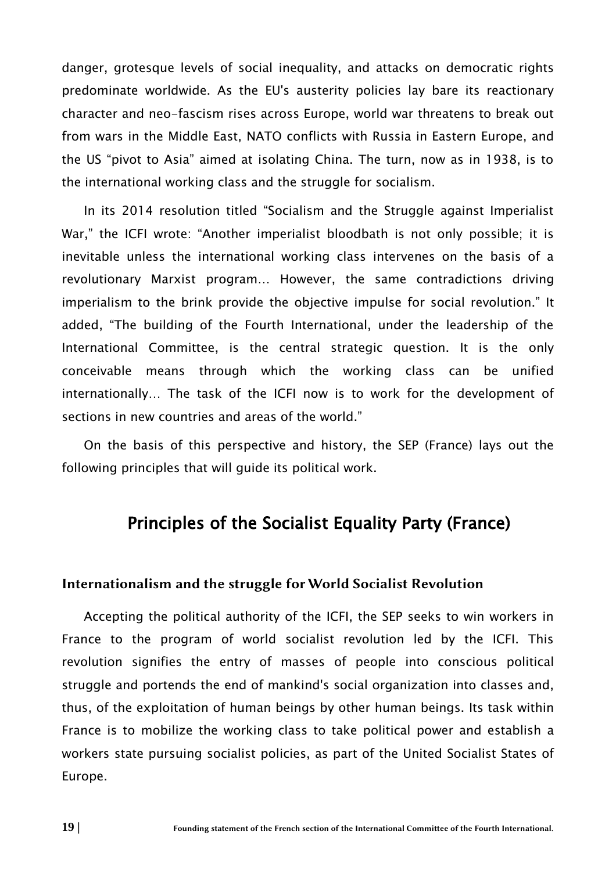danger, grotesque levels of social inequality, and attacks on democratic rights predominate worldwide. As the EU's austerity policies lay bare its reactionary character and neo-fascism rises across Europe, world war threatens to break out from wars in the Middle East, NATO conflicts with Russia in Eastern Europe, and the US "pivot to Asia" aimed at isolating China. The turn, now as in 1938, is to the international working class and the struggle for socialism.

In its 2014 resolution titled "Socialism and the Struggle against Imperialist War," the ICFI wrote: "Another imperialist bloodbath is not only possible; it is inevitable unless the international working class intervenes on the basis of a revolutionary Marxist program… However, the same contradictions driving imperialism to the brink provide the objective impulse for social revolution." It added, "The building of the Fourth International, under the leadership of the International Committee, is the central strategic question. It is the only conceivable means through which the working class can be unified internationally… The task of the ICFI now is to work for the development of sections in new countries and areas of the world."

On the basis of this perspective and history, the SEP (France) lays out the following principles that will guide its political work.

# Principles of the Socialist Equality Party (France)

#### Internationalism and the struggle for World Socialist Revolution

Accepting the political authority of the ICFI, the SEP seeks to win workers in France to the program of world socialist revolution led by the ICFI. This revolution signifies the entry of masses of people into conscious political struggle and portends the end of mankind's social organization into classes and, thus, of the exploitation of human beings by other human beings. Its task within France is to mobilize the working class to take political power and establish a workers state pursuing socialist policies, as part of the United Socialist States of Europe.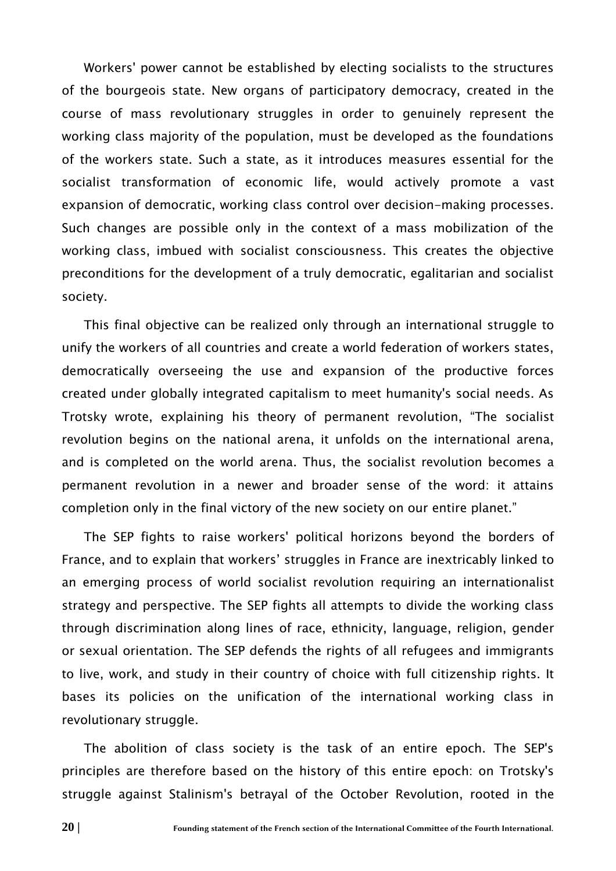Workers' power cannot be established by electing socialists to the structures of the bourgeois state. New organs of participatory democracy, created in the course of mass revolutionary struggles in order to genuinely represent the working class majority of the population, must be developed as the foundations of the workers state. Such a state, as it introduces measures essential for the socialist transformation of economic life, would actively promote a vast expansion of democratic, working class control over decision-making processes. Such changes are possible only in the context of a mass mobilization of the working class, imbued with socialist consciousness. This creates the objective preconditions for the development of a truly democratic, egalitarian and socialist society.

This final objective can be realized only through an international struggle to unify the workers of all countries and create a world federation of workers states, democratically overseeing the use and expansion of the productive forces created under globally integrated capitalism to meet humanity's social needs. As Trotsky wrote, explaining his theory of permanent revolution, "The socialist revolution begins on the national arena, it unfolds on the international arena, and is completed on the world arena. Thus, the socialist revolution becomes a permanent revolution in a newer and broader sense of the word: it attains completion only in the final victory of the new society on our entire planet."

The SEP fights to raise workers' political horizons beyond the borders of France, and to explain that workers' struggles in France are inextricably linked to an emerging process of world socialist revolution requiring an internationalist strategy and perspective. The SEP fights all attempts to divide the working class through discrimination along lines of race, ethnicity, language, religion, gender or sexual orientation. The SEP defends the rights of all refugees and immigrants to live, work, and study in their country of choice with full citizenship rights. It bases its policies on the unification of the international working class in revolutionary struggle.

The abolition of class society is the task of an entire epoch. The SEP's principles are therefore based on the history of this entire epoch: on Trotsky's struggle against Stalinism's betrayal of the October Revolution, rooted in the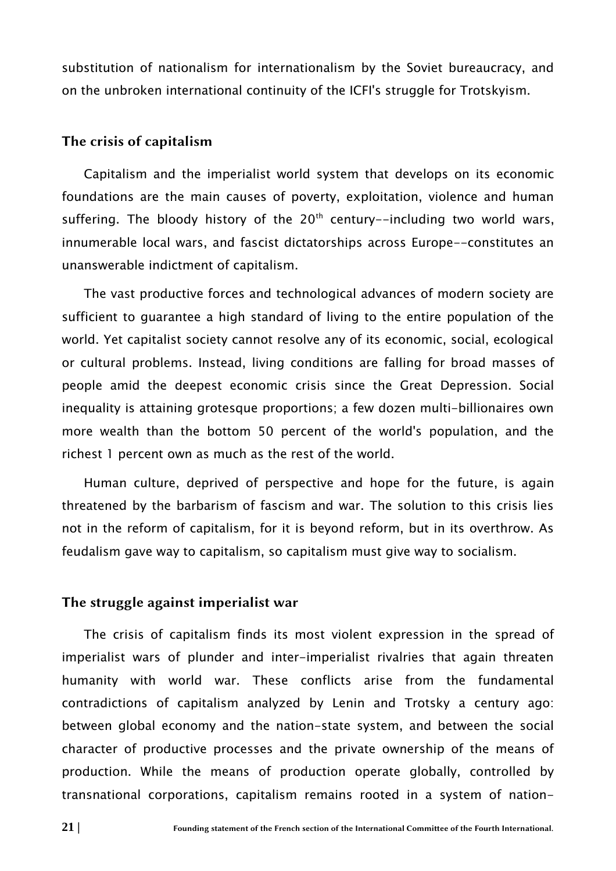substitution of nationalism for internationalism by the Soviet bureaucracy, and on the unbroken international continuity of the ICFI's struggle for Trotskyism.

#### The crisis of capitalism

Capitalism and the imperialist world system that develops on its economic foundations are the main causes of poverty, exploitation, violence and human suffering. The bloody history of the  $20<sup>th</sup>$  century--including two world wars, innumerable local wars, and fascist dictatorships across Europe--constitutes an unanswerable indictment of capitalism.

The vast productive forces and technological advances of modern society are sufficient to guarantee a high standard of living to the entire population of the world. Yet capitalist society cannot resolve any of its economic, social, ecological or cultural problems. Instead, living conditions are falling for broad masses of people amid the deepest economic crisis since the Great Depression. Social inequality is attaining grotesque proportions; a few dozen multi-billionaires own more wealth than the bottom 50 percent of the world's population, and the richest 1 percent own as much as the rest of the world.

Human culture, deprived of perspective and hope for the future, is again threatened by the barbarism of fascism and war. The solution to this crisis lies not in the reform of capitalism, for it is beyond reform, but in its overthrow. As feudalism gave way to capitalism, so capitalism must give way to socialism.

#### The struggle against imperialist war

The crisis of capitalism finds its most violent expression in the spread of imperialist wars of plunder and inter-imperialist rivalries that again threaten humanity with world war. These conflicts arise from the fundamental contradictions of capitalism analyzed by Lenin and Trotsky a century ago: between global economy and the nation-state system, and between the social character of productive processes and the private ownership of the means of production. While the means of production operate globally, controlled by transnational corporations, capitalism remains rooted in a system of nation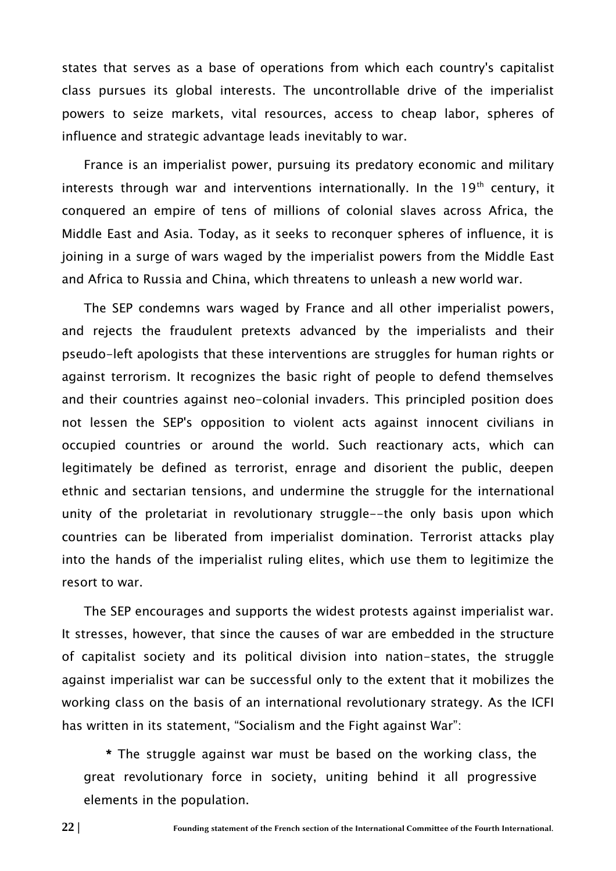states that serves as a base of operations from which each country's capitalist class pursues its global interests. The uncontrollable drive of the imperialist powers to seize markets, vital resources, access to cheap labor, spheres of influence and strategic advantage leads inevitably to war.

France is an imperialist power, pursuing its predatory economic and military interests through war and interventions internationally. In the  $19<sup>th</sup>$  century, it conquered an empire of tens of millions of colonial slaves across Africa, the Middle East and Asia. Today, as it seeks to reconquer spheres of influence, it is joining in a surge of wars waged by the imperialist powers from the Middle East and Africa to Russia and China, which threatens to unleash a new world war.

The SEP condemns wars waged by France and all other imperialist powers, and rejects the fraudulent pretexts advanced by the imperialists and their pseudo-left apologists that these interventions are struggles for human rights or against terrorism. It recognizes the basic right of people to defend themselves and their countries against neo-colonial invaders. This principled position does not lessen the SEP's opposition to violent acts against innocent civilians in occupied countries or around the world. Such reactionary acts, which can legitimately be defined as terrorist, enrage and disorient the public, deepen ethnic and sectarian tensions, and undermine the struggle for the international unity of the proletariat in revolutionary struggle--the only basis upon which countries can be liberated from imperialist domination. Terrorist attacks play into the hands of the imperialist ruling elites, which use them to legitimize the resort to war.

The SEP encourages and supports the widest protests against imperialist war. It stresses, however, that since the causes of war are embedded in the structure of capitalist society and its political division into nation-states, the struggle against imperialist war can be successful only to the extent that it mobilizes the working class on the basis of an international revolutionary strategy. As the ICFI has written in its statement, "Socialism and the Fight against War":

\* The struggle against war must be based on the working class, the great revolutionary force in society, uniting behind it all progressive elements in the population.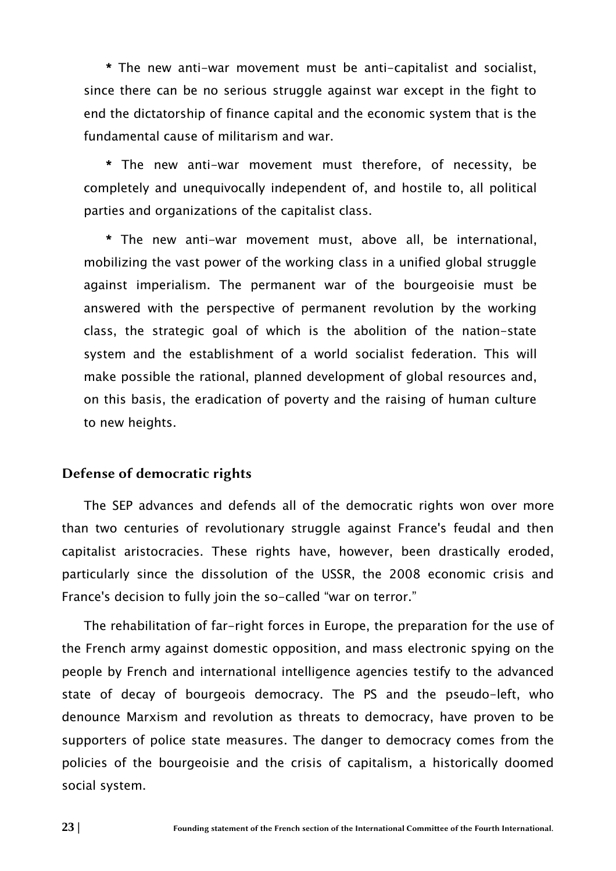\* The new anti-war movement must be anti-capitalist and socialist, since there can be no serious struggle against war except in the fight to end the dictatorship of finance capital and the economic system that is the fundamental cause of militarism and war.

\* The new anti-war movement must therefore, of necessity, be completely and unequivocally independent of, and hostile to, all political parties and organizations of the capitalist class.

\* The new anti-war movement must, above all, be international, mobilizing the vast power of the working class in a unified global struggle against imperialism. The permanent war of the bourgeoisie must be answered with the perspective of permanent revolution by the working class, the strategic goal of which is the abolition of the nation-state system and the establishment of a world socialist federation. This will make possible the rational, planned development of global resources and, on this basis, the eradication of poverty and the raising of human culture to new heights.

#### Defense of democratic rights

The SEP advances and defends all of the democratic rights won over more than two centuries of revolutionary struggle against France's feudal and then capitalist aristocracies. These rights have, however, been drastically eroded, particularly since the dissolution of the USSR, the 2008 economic crisis and France's decision to fully join the so-called "war on terror."

The rehabilitation of far-right forces in Europe, the preparation for the use of the French army against domestic opposition, and mass electronic spying on the people by French and international intelligence agencies testify to the advanced state of decay of bourgeois democracy. The PS and the pseudo-left, who denounce Marxism and revolution as threats to democracy, have proven to be supporters of police state measures. The danger to democracy comes from the policies of the bourgeoisie and the crisis of capitalism, a historically doomed social system.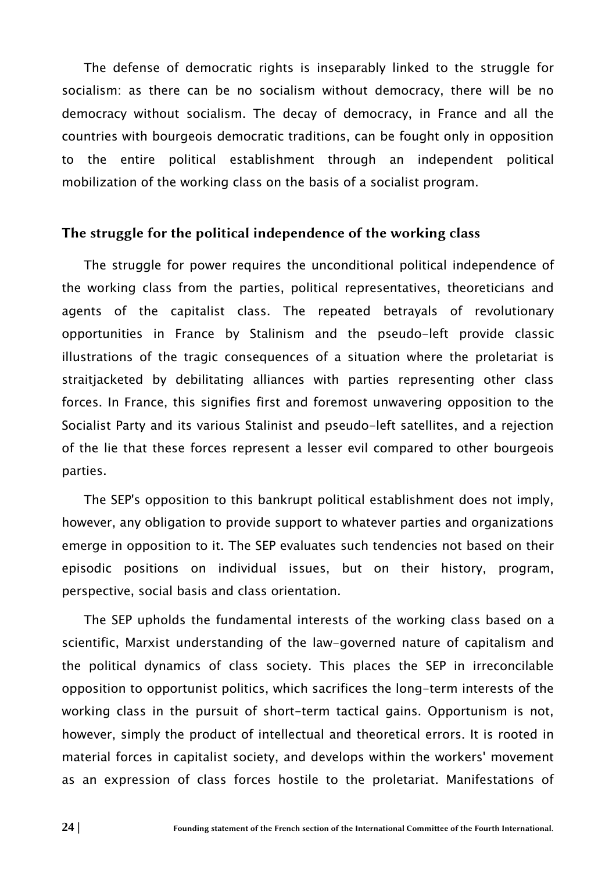The defense of democratic rights is inseparably linked to the struggle for socialism: as there can be no socialism without democracy, there will be no democracy without socialism. The decay of democracy, in France and all the countries with bourgeois democratic traditions, can be fought only in opposition to the entire political establishment through an independent political mobilization of the working class on the basis of a socialist program.

#### The struggle for the political independence of the working class

The struggle for power requires the unconditional political independence of the working class from the parties, political representatives, theoreticians and agents of the capitalist class. The repeated betrayals of revolutionary opportunities in France by Stalinism and the pseudo-left provide classic illustrations of the tragic consequences of a situation where the proletariat is straitjacketed by debilitating alliances with parties representing other class forces. In France, this signifies first and foremost unwavering opposition to the Socialist Party and its various Stalinist and pseudo-left satellites, and a rejection of the lie that these forces represent a lesser evil compared to other bourgeois parties.

The SEP's opposition to this bankrupt political establishment does not imply, however, any obligation to provide support to whatever parties and organizations emerge in opposition to it. The SEP evaluates such tendencies not based on their episodic positions on individual issues, but on their history, program, perspective, social basis and class orientation.

The SEP upholds the fundamental interests of the working class based on a scientific, Marxist understanding of the law-governed nature of capitalism and the political dynamics of class society. This places the SEP in irreconcilable opposition to opportunist politics, which sacrifices the long-term interests of the working class in the pursuit of short-term tactical gains. Opportunism is not, however, simply the product of intellectual and theoretical errors. It is rooted in material forces in capitalist society, and develops within the workers' movement as an expression of class forces hostile to the proletariat. Manifestations of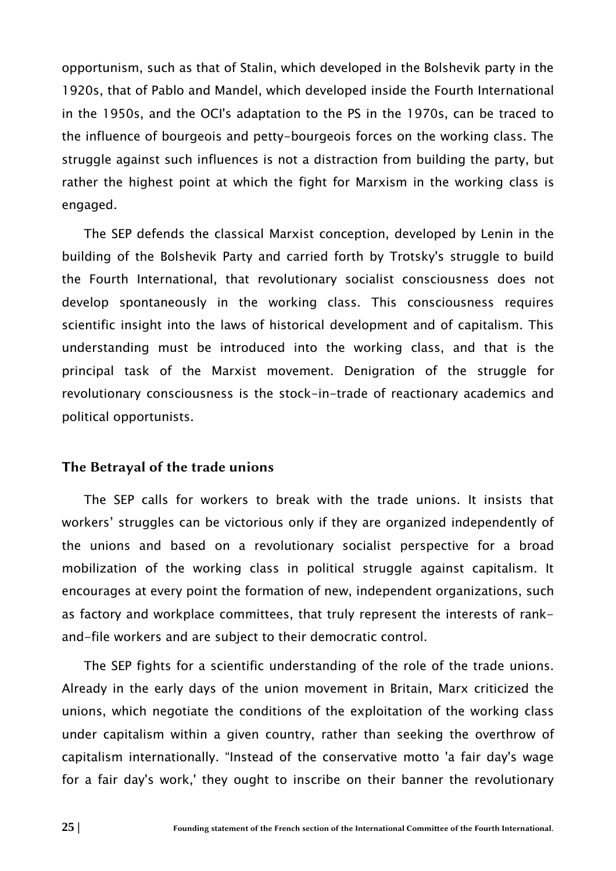opportunism, such as that of Stalin, which developed in the Bolshevik party in the 1920s, that of Pablo and Mandel, which developed inside the Fourth International in the 1950s, and the OCI's adaptation to the PS in the 1970s, can be traced to the influence of bourgeois and petty-bourgeois forces on the working class. The struggle against such influences is not a distraction from building the party, but rather the highest point at which the fight for Marxism in the working class is engaged.

The SEP defends the classical Marxist conception, developed by Lenin in the building of the Bolshevik Party and carried forth by Trotsky's struggle to build the Fourth International, that revolutionary socialist consciousness does not develop spontaneously in the working class. This consciousness requires scientific insight into the laws of historical development and of capitalism. This understanding must be introduced into the working class, and that is the principal task of the Marxist movement. Denigration of the struggle for revolutionary consciousness is the stock-in-trade of reactionary academics and political opportunists.

#### The Betrayal of the trade unions

The SEP calls for workers to break with the trade unions. It insists that workers' struggles can be victorious only if they are organized independently of the unions and based on a revolutionary socialist perspective for a broad mobilization of the working class in political struggle against capitalism. It encourages at every point the formation of new, independent organizations, such as factory and workplace committees, that truly represent the interests of rankand-file workers and are subject to their democratic control.

The SEP fights for a scientific understanding of the role of the trade unions. Already in the early days of the union movement in Britain, Marx criticized the unions, which negotiate the conditions of the exploitation of the working class under capitalism within a given country, rather than seeking the overthrow of capitalism internationally. "Instead of the conservative motto 'a fair day's wage for a fair day's work,' they ought to inscribe on their banner the revolutionary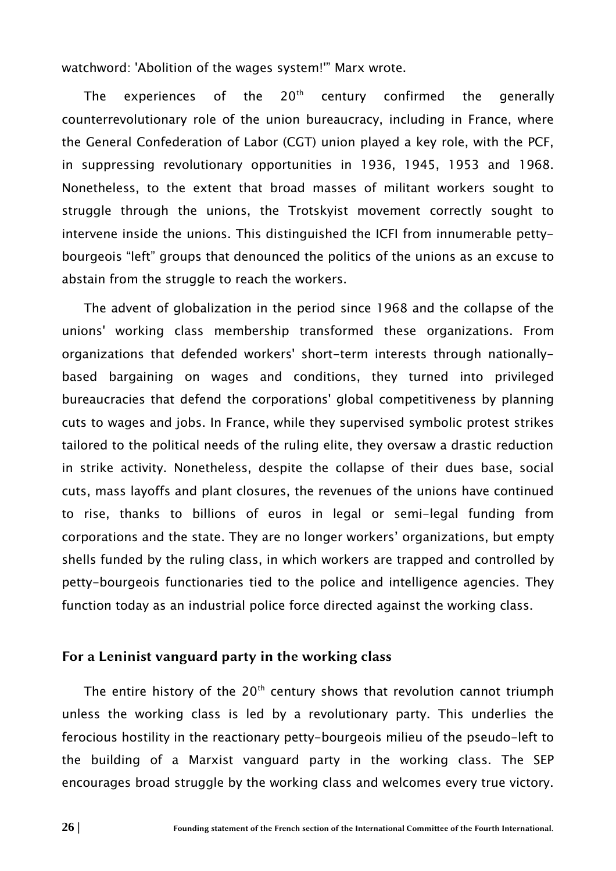watchword: 'Abolition of the wages system!'" Marx wrote.

The experiences of the  $20<sup>th</sup>$  century confirmed the generally counterrevolutionary role of the union bureaucracy, including in France, where the General Confederation of Labor (CGT) union played a key role, with the PCF, in suppressing revolutionary opportunities in 1936, 1945, 1953 and 1968. Nonetheless, to the extent that broad masses of militant workers sought to struggle through the unions, the Trotskyist movement correctly sought to intervene inside the unions. This distinguished the ICFI from innumerable pettybourgeois "left" groups that denounced the politics of the unions as an excuse to abstain from the struggle to reach the workers.

The advent of globalization in the period since 1968 and the collapse of the unions' working class membership transformed these organizations. From organizations that defended workers' short-term interests through nationallybased bargaining on wages and conditions, they turned into privileged bureaucracies that defend the corporations' global competitiveness by planning cuts to wages and jobs. In France, while they supervised symbolic protest strikes tailored to the political needs of the ruling elite, they oversaw a drastic reduction in strike activity. Nonetheless, despite the collapse of their dues base, social cuts, mass layoffs and plant closures, the revenues of the unions have continued to rise, thanks to billions of euros in legal or semi-legal funding from corporations and the state. They are no longer workers' organizations, but empty shells funded by the ruling class, in which workers are trapped and controlled by petty-bourgeois functionaries tied to the police and intelligence agencies. They function today as an industrial police force directed against the working class.

#### For a Leninist vanguard party in the working class

The entire history of the  $20<sup>th</sup>$  century shows that revolution cannot triumph unless the working class is led by a revolutionary party. This underlies the ferocious hostility in the reactionary petty-bourgeois milieu of the pseudo-left to the building of a Marxist vanguard party in the working class. The SEP encourages broad struggle by the working class and welcomes every true victory.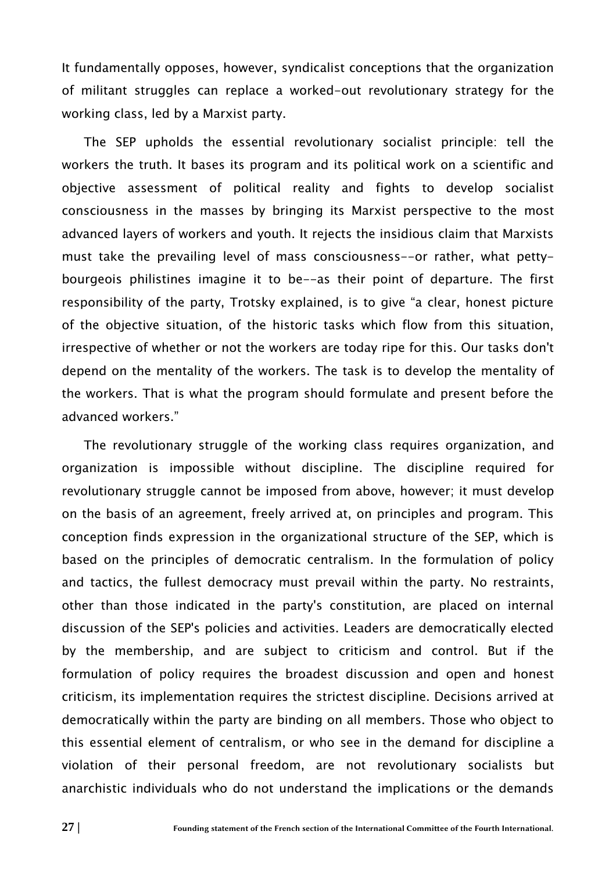It fundamentally opposes, however, syndicalist conceptions that the organization of militant struggles can replace a worked-out revolutionary strategy for the working class, led by a Marxist party.

The SEP upholds the essential revolutionary socialist principle: tell the workers the truth. It bases its program and its political work on a scientific and objective assessment of political reality and fights to develop socialist consciousness in the masses by bringing its Marxist perspective to the most advanced layers of workers and youth. It rejects the insidious claim that Marxists must take the prevailing level of mass consciousness--or rather, what pettybourgeois philistines imagine it to be--as their point of departure. The first responsibility of the party, Trotsky explained, is to give "a clear, honest picture of the objective situation, of the historic tasks which flow from this situation, irrespective of whether or not the workers are today ripe for this. Our tasks don't depend on the mentality of the workers. The task is to develop the mentality of the workers. That is what the program should formulate and present before the advanced workers."

The revolutionary struggle of the working class requires organization, and organization is impossible without discipline. The discipline required for revolutionary struggle cannot be imposed from above, however; it must develop on the basis of an agreement, freely arrived at, on principles and program. This conception finds expression in the organizational structure of the SEP, which is based on the principles of democratic centralism. In the formulation of policy and tactics, the fullest democracy must prevail within the party. No restraints, other than those indicated in the party's constitution, are placed on internal discussion of the SEP's policies and activities. Leaders are democratically elected by the membership, and are subject to criticism and control. But if the formulation of policy requires the broadest discussion and open and honest criticism, its implementation requires the strictest discipline. Decisions arrived at democratically within the party are binding on all members. Those who object to this essential element of centralism, or who see in the demand for discipline a violation of their personal freedom, are not revolutionary socialists but anarchistic individuals who do not understand the implications or the demands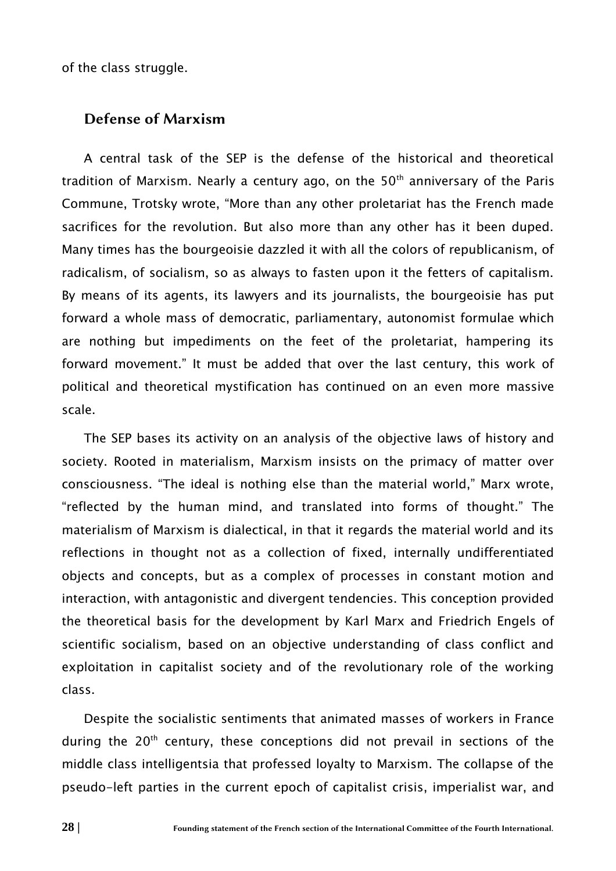of the class struggle.

#### Defense of Marxism

A central task of the SEP is the defense of the historical and theoretical tradition of Marxism. Nearly a century ago, on the  $50<sup>th</sup>$  anniversary of the Paris Commune, Trotsky wrote, "More than any other proletariat has the French made sacrifices for the revolution. But also more than any other has it been duped. Many times has the bourgeoisie dazzled it with all the colors of republicanism, of radicalism, of socialism, so as always to fasten upon it the fetters of capitalism. By means of its agents, its lawyers and its journalists, the bourgeoisie has put forward a whole mass of democratic, parliamentary, autonomist formulae which are nothing but impediments on the feet of the proletariat, hampering its forward movement." It must be added that over the last century, this work of political and theoretical mystification has continued on an even more massive scale.

The SEP bases its activity on an analysis of the objective laws of history and society. Rooted in materialism, Marxism insists on the primacy of matter over consciousness. "The ideal is nothing else than the material world," Marx wrote, "reflected by the human mind, and translated into forms of thought." The materialism of Marxism is dialectical, in that it regards the material world and its reflections in thought not as a collection of fixed, internally undifferentiated objects and concepts, but as a complex of processes in constant motion and interaction, with antagonistic and divergent tendencies. This conception provided the theoretical basis for the development by Karl Marx and Friedrich Engels of scientific socialism, based on an objective understanding of class conflict and exploitation in capitalist society and of the revolutionary role of the working class.

Despite the socialistic sentiments that animated masses of workers in France during the  $20<sup>th</sup>$  century, these conceptions did not prevail in sections of the middle class intelligentsia that professed loyalty to Marxism. The collapse of the pseudo-left parties in the current epoch of capitalist crisis, imperialist war, and